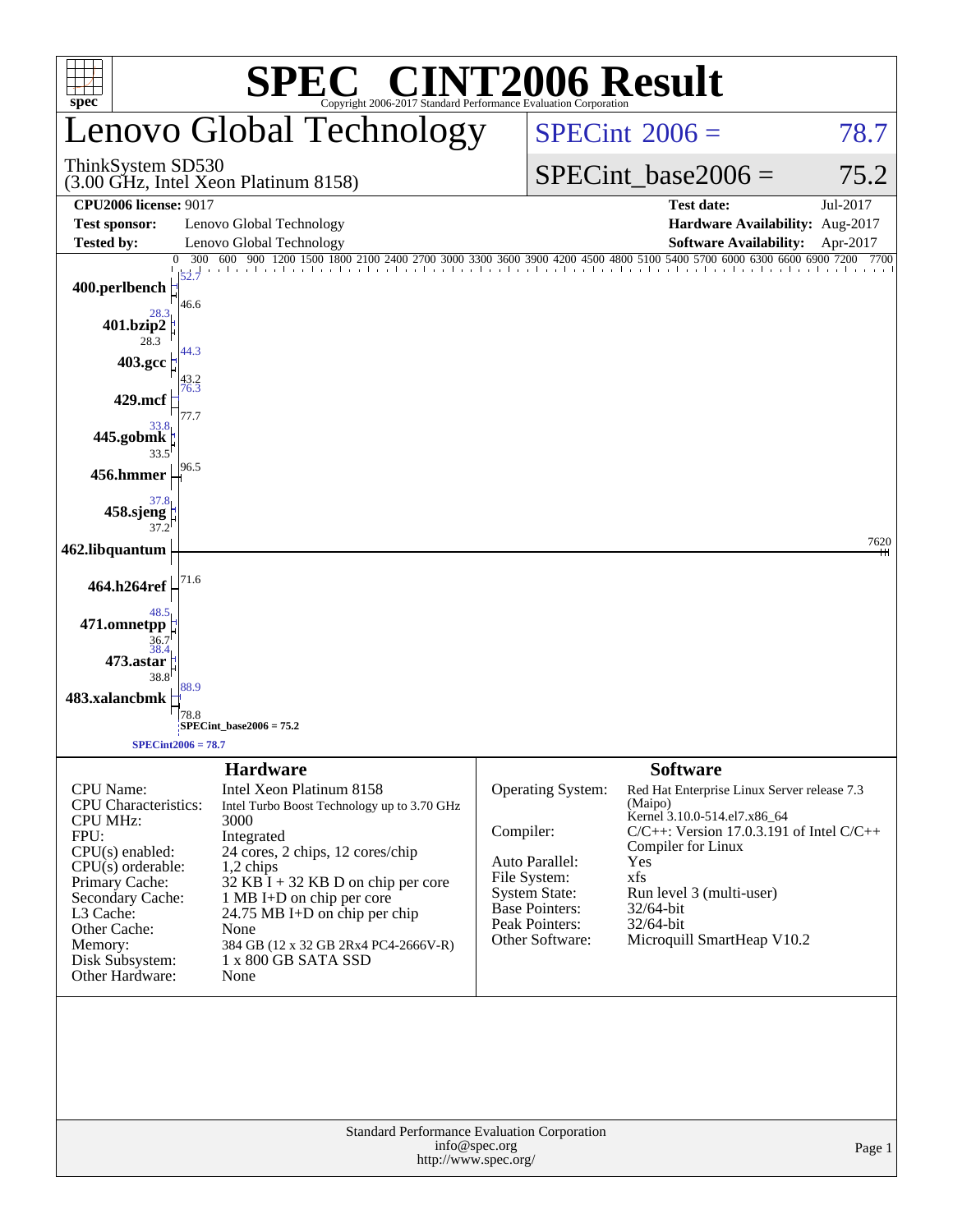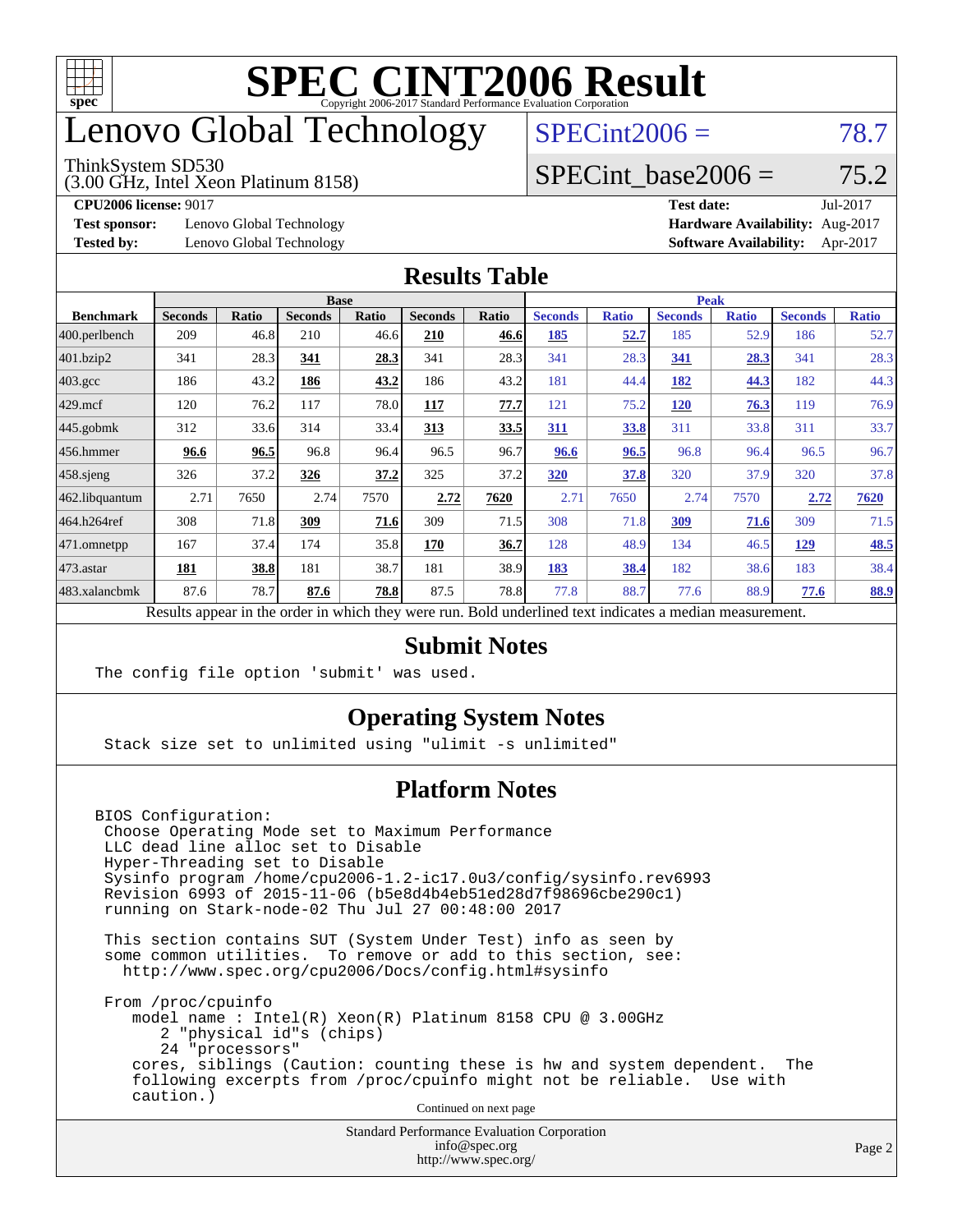

### enovo Global Technology

#### ThinkSystem SD530

(3.00 GHz, Intel Xeon Platinum 8158)

 $SPECint2006 = 78.7$  $SPECint2006 = 78.7$ 

#### SPECint base2006 =  $75.2$

**[Test sponsor:](http://www.spec.org/auto/cpu2006/Docs/result-fields.html#Testsponsor)** Lenovo Global Technology **[Hardware Availability:](http://www.spec.org/auto/cpu2006/Docs/result-fields.html#HardwareAvailability)** Aug-2017

**[CPU2006 license:](http://www.spec.org/auto/cpu2006/Docs/result-fields.html#CPU2006license)** 9017 **[Test date:](http://www.spec.org/auto/cpu2006/Docs/result-fields.html#Testdate)** Jul-2017 **[Tested by:](http://www.spec.org/auto/cpu2006/Docs/result-fields.html#Testedby)** Lenovo Global Technology **[Software Availability:](http://www.spec.org/auto/cpu2006/Docs/result-fields.html#SoftwareAvailability)** Apr-2017

#### **[Results Table](http://www.spec.org/auto/cpu2006/Docs/result-fields.html#ResultsTable)**

|                                                                                                          | <b>Base</b>    |       |                |       |                |       |                | <b>Peak</b>  |                |              |                |              |
|----------------------------------------------------------------------------------------------------------|----------------|-------|----------------|-------|----------------|-------|----------------|--------------|----------------|--------------|----------------|--------------|
| <b>Benchmark</b>                                                                                         | <b>Seconds</b> | Ratio | <b>Seconds</b> | Ratio | <b>Seconds</b> | Ratio | <b>Seconds</b> | <b>Ratio</b> | <b>Seconds</b> | <b>Ratio</b> | <b>Seconds</b> | <b>Ratio</b> |
| 400.perlbench                                                                                            | 209            | 46.8  | 210            | 46.6  | 210            | 46.6  | 185            | <u>52.7</u>  | 185            | 52.9         | 186            | 52.7         |
| 401.bzip2                                                                                                | 341            | 28.3  | 341            | 28.3  | 341            | 28.3  | 341            | 28.3         | 341            | 28.3         | 341            | 28.3         |
| $403.\text{gcc}$                                                                                         | 186            | 43.2  | 186            | 43.2  | 186            | 43.2  | 181            | 44.4         | 182            | 44.3         | 182            | 44.3         |
| $429$ .mcf                                                                                               | 120            | 76.2  | 117            | 78.0  | 117            | 77.7  | 121            | 75.2         | 120            | 76.3         | 119            | 76.9         |
| $445$ .gobmk                                                                                             | 312            | 33.6  | 314            | 33.4  | 313            | 33.5  | 311            | 33.8         | 311            | 33.8         | 311            | 33.7         |
| 456.hmmer                                                                                                | 96.6           | 96.5  | 96.8           | 96.4  | 96.5           | 96.7  | 96.6           | 96.5         | 96.8           | 96.4         | 96.5           | 96.7         |
| $458$ .sjeng                                                                                             | 326            | 37.2  | 326            | 37.2  | 325            | 37.2  | 320            | 37.8         | 320            | 37.9         | 320            | 37.8         |
| 462.libquantum                                                                                           | 2.71           | 7650  | 2.74           | 7570  | 2.72           | 7620  | 2.71           | 7650         | 2.74           | 7570         | 2.72           | 7620         |
| 464.h264ref                                                                                              | 308            | 71.8  | 309            | 71.6  | 309            | 71.5  | 308            | 71.8         | 309            | 71.6         | 309            | 71.5         |
| 471.omnetpp                                                                                              | 167            | 37.4  | 174            | 35.8  | 170            | 36.7  | 128            | 48.9         | 134            | 46.5         | 129            | <b>48.5</b>  |
| $473$ . astar                                                                                            | 181            | 38.8  | 181            | 38.7  | 181            | 38.9  | 183            | 38.4         | 182            | 38.6         | 183            | 38.4         |
| 483.xalancbmk                                                                                            | 87.6           | 78.7  | 87.6           | 78.8  | 87.5           | 78.8  | 77.8           | 88.7         | 77.6           | 88.9         | 77.6           | 88.9         |
| Results appear in the order in which they were run. Bold underlined text indicates a median measurement. |                |       |                |       |                |       |                |              |                |              |                |              |

#### **[Submit Notes](http://www.spec.org/auto/cpu2006/Docs/result-fields.html#SubmitNotes)**

The config file option 'submit' was used.

#### **[Operating System Notes](http://www.spec.org/auto/cpu2006/Docs/result-fields.html#OperatingSystemNotes)**

Stack size set to unlimited using "ulimit -s unlimited"

#### **[Platform Notes](http://www.spec.org/auto/cpu2006/Docs/result-fields.html#PlatformNotes)**

BIOS Configuration: Choose Operating Mode set to Maximum Performance LLC dead line alloc set to Disable Hyper-Threading set to Disable Sysinfo program /home/cpu2006-1.2-ic17.0u3/config/sysinfo.rev6993 Revision 6993 of 2015-11-06 (b5e8d4b4eb51ed28d7f98696cbe290c1) running on Stark-node-02 Thu Jul 27 00:48:00 2017

 This section contains SUT (System Under Test) info as seen by some common utilities. To remove or add to this section, see: <http://www.spec.org/cpu2006/Docs/config.html#sysinfo>

 From /proc/cpuinfo model name : Intel(R) Xeon(R) Platinum 8158 CPU @ 3.00GHz 2 "physical id"s (chips) 24 "processors" cores, siblings (Caution: counting these is hw and system dependent. The following excerpts from /proc/cpuinfo might not be reliable. Use with caution.)

Continued on next page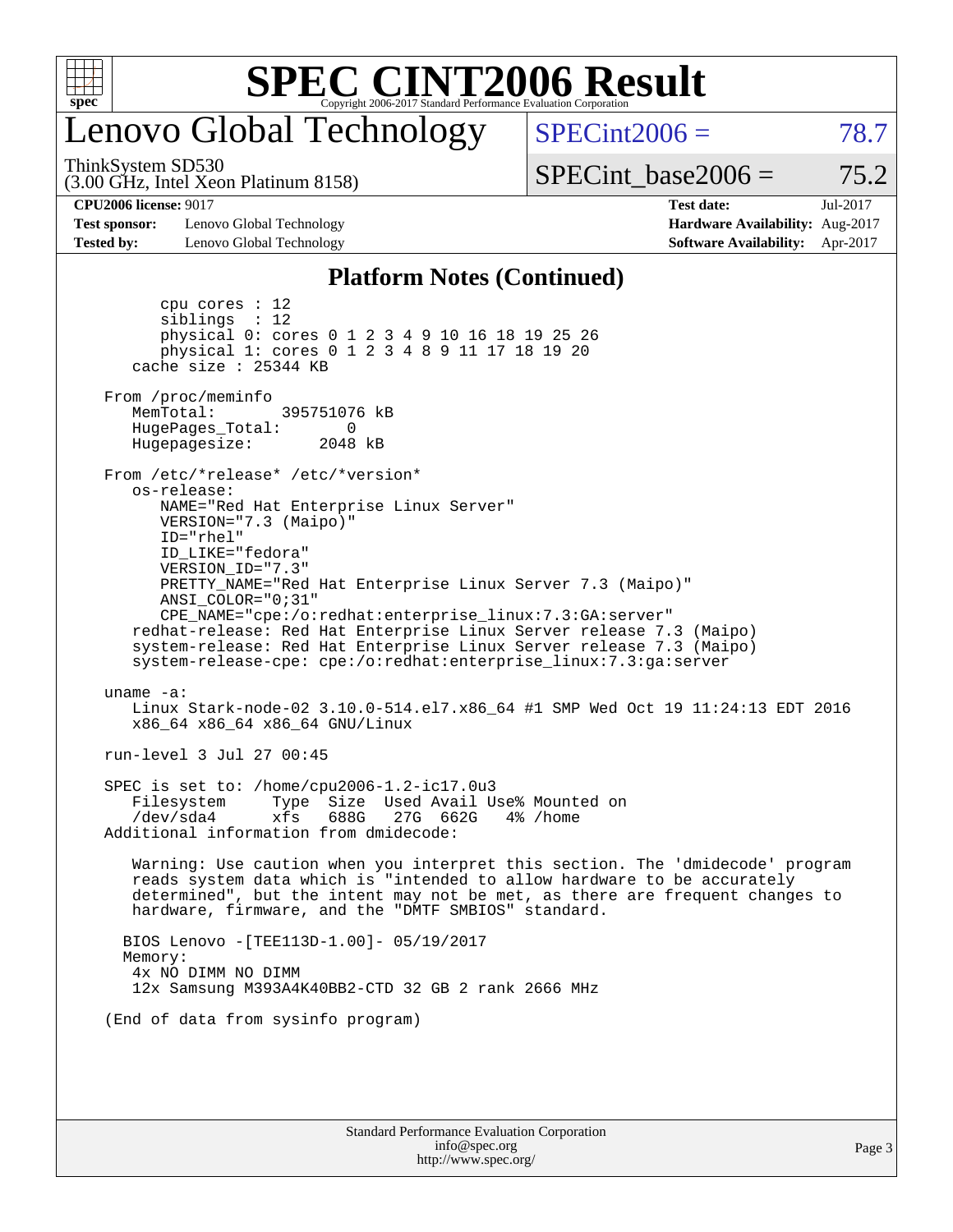

### enovo Global Technology

ThinkSystem SD530

(3.00 GHz, Intel Xeon Platinum 8158)

 $SPECint2006 = 78.7$  $SPECint2006 = 78.7$ 

SPECint base2006 =  $75.2$ 

**[Test sponsor:](http://www.spec.org/auto/cpu2006/Docs/result-fields.html#Testsponsor)** Lenovo Global Technology **[Hardware Availability:](http://www.spec.org/auto/cpu2006/Docs/result-fields.html#HardwareAvailability)** Aug-2017 **[Tested by:](http://www.spec.org/auto/cpu2006/Docs/result-fields.html#Testedby)** Lenovo Global Technology **[Software Availability:](http://www.spec.org/auto/cpu2006/Docs/result-fields.html#SoftwareAvailability)** Apr-2017

**[CPU2006 license:](http://www.spec.org/auto/cpu2006/Docs/result-fields.html#CPU2006license)** 9017 **[Test date:](http://www.spec.org/auto/cpu2006/Docs/result-fields.html#Testdate)** Jul-2017

#### **[Platform Notes \(Continued\)](http://www.spec.org/auto/cpu2006/Docs/result-fields.html#PlatformNotes)**

Standard Performance Evaluation Corporation [info@spec.org](mailto:info@spec.org) Page 3 cpu cores : 12 siblings : 12 physical 0: cores 0 1 2 3 4 9 10 16 18 19 25 26 physical 1: cores 0 1 2 3 4 8 9 11 17 18 19 20 cache size : 25344 KB From /proc/meminfo MemTotal: 395751076 kB HugePages\_Total: 0<br>Hugepagesize: 2048 kB Hugepagesize: From /etc/\*release\* /etc/\*version\* os-release: NAME="Red Hat Enterprise Linux Server" VERSION="7.3 (Maipo)" ID="rhel" ID\_LIKE="fedora" VERSION\_ID="7.3" PRETTY\_NAME="Red Hat Enterprise Linux Server 7.3 (Maipo)" ANSI\_COLOR="0;31" CPE\_NAME="cpe:/o:redhat:enterprise\_linux:7.3:GA:server" redhat-release: Red Hat Enterprise Linux Server release 7.3 (Maipo) system-release: Red Hat Enterprise Linux Server release 7.3 (Maipo) system-release-cpe: cpe:/o:redhat:enterprise\_linux:7.3:ga:server uname -a: Linux Stark-node-02 3.10.0-514.el7.x86\_64 #1 SMP Wed Oct 19 11:24:13 EDT 2016 x86\_64 x86\_64 x86\_64 GNU/Linux run-level 3 Jul 27 00:45 SPEC is set to: /home/cpu2006-1.2-ic17.0u3 Filesystem Type Size Used Avail Use% Mounted on /dev/sda4 xfs 688G 27G 662G 4% /home Additional information from dmidecode: Warning: Use caution when you interpret this section. The 'dmidecode' program reads system data which is "intended to allow hardware to be accurately determined", but the intent may not be met, as there are frequent changes to hardware, firmware, and the "DMTF SMBIOS" standard. BIOS Lenovo -[TEE113D-1.00]- 05/19/2017 Memory: 4x NO DIMM NO DIMM 12x Samsung M393A4K40BB2-CTD 32 GB 2 rank 2666 MHz (End of data from sysinfo program)

<http://www.spec.org/>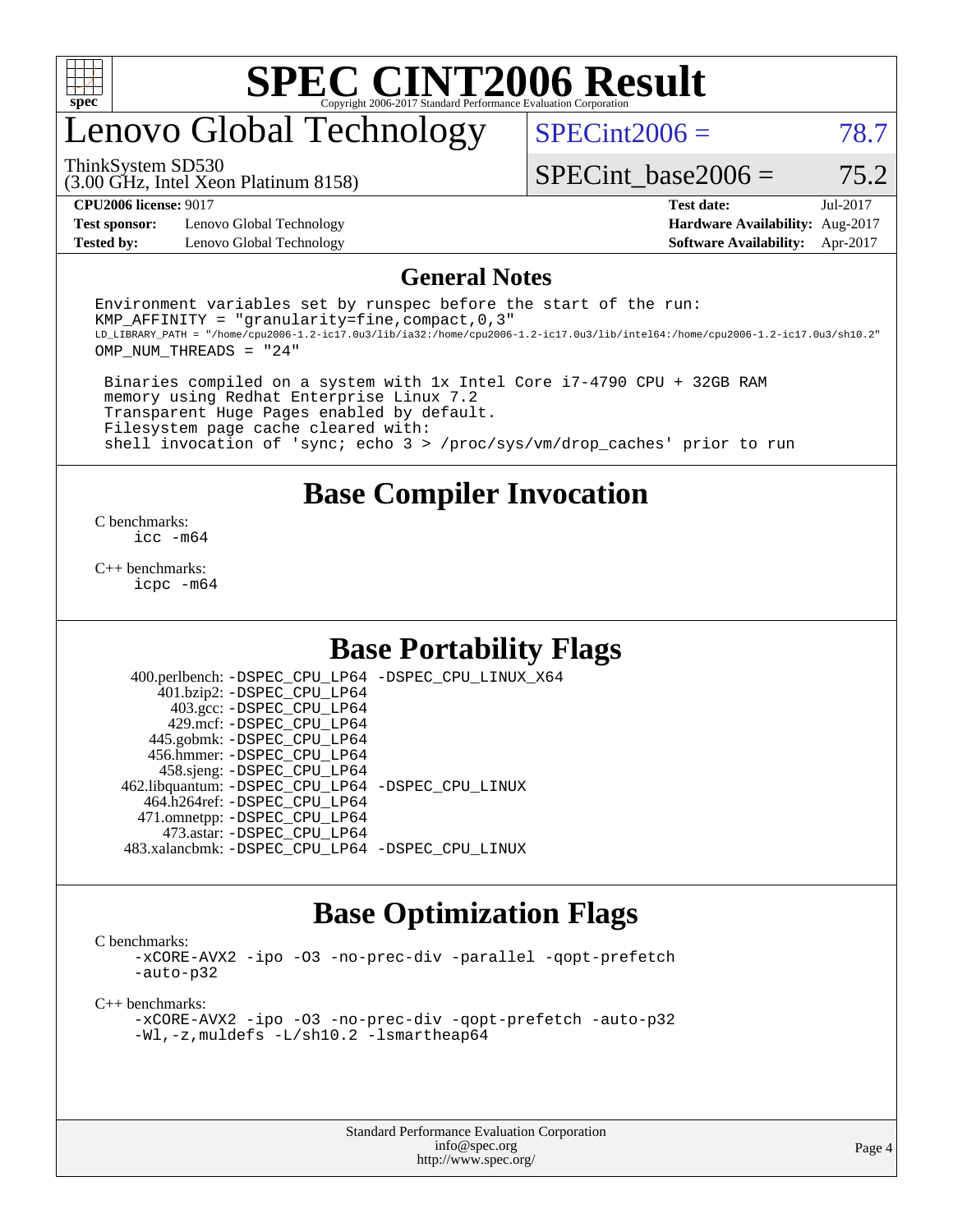

# enovo Global Technology

(3.00 GHz, Intel Xeon Platinum 8158) ThinkSystem SD530

 $SPECint2006 = 78.7$  $SPECint2006 = 78.7$ 

SPECint base2006 =  $75.2$ 

**[Test sponsor:](http://www.spec.org/auto/cpu2006/Docs/result-fields.html#Testsponsor)** Lenovo Global Technology **[Hardware Availability:](http://www.spec.org/auto/cpu2006/Docs/result-fields.html#HardwareAvailability)** Aug-2017

**[CPU2006 license:](http://www.spec.org/auto/cpu2006/Docs/result-fields.html#CPU2006license)** 9017 **[Test date:](http://www.spec.org/auto/cpu2006/Docs/result-fields.html#Testdate)** Jul-2017 **[Tested by:](http://www.spec.org/auto/cpu2006/Docs/result-fields.html#Testedby)** Lenovo Global Technology **[Software Availability:](http://www.spec.org/auto/cpu2006/Docs/result-fields.html#SoftwareAvailability)** Apr-2017

#### **[General Notes](http://www.spec.org/auto/cpu2006/Docs/result-fields.html#GeneralNotes)**

Environment variables set by runspec before the start of the run: KMP AFFINITY = "granularity=fine, compact,  $0,3$ " LD\_LIBRARY\_PATH = "/home/cpu2006-1.2-ic17.0u3/lib/ia32:/home/cpu2006-1.2-ic17.0u3/lib/intel64:/home/cpu2006-1.2-ic17.0u3/sh10.2" OMP\_NUM\_THREADS = "24"

 Binaries compiled on a system with 1x Intel Core i7-4790 CPU + 32GB RAM memory using Redhat Enterprise Linux 7.2 Transparent Huge Pages enabled by default. Filesystem page cache cleared with: shell invocation of 'sync; echo 3 > /proc/sys/vm/drop\_caches' prior to run

#### **[Base Compiler Invocation](http://www.spec.org/auto/cpu2006/Docs/result-fields.html#BaseCompilerInvocation)**

[C benchmarks](http://www.spec.org/auto/cpu2006/Docs/result-fields.html#Cbenchmarks): [icc -m64](http://www.spec.org/cpu2006/results/res2017q4/cpu2006-20170918-49681.flags.html#user_CCbase_intel_icc_64bit_bda6cc9af1fdbb0edc3795bac97ada53)

[C++ benchmarks:](http://www.spec.org/auto/cpu2006/Docs/result-fields.html#CXXbenchmarks) [icpc -m64](http://www.spec.org/cpu2006/results/res2017q4/cpu2006-20170918-49681.flags.html#user_CXXbase_intel_icpc_64bit_fc66a5337ce925472a5c54ad6a0de310)

#### **[Base Portability Flags](http://www.spec.org/auto/cpu2006/Docs/result-fields.html#BasePortabilityFlags)**

 400.perlbench: [-DSPEC\\_CPU\\_LP64](http://www.spec.org/cpu2006/results/res2017q4/cpu2006-20170918-49681.flags.html#b400.perlbench_basePORTABILITY_DSPEC_CPU_LP64) [-DSPEC\\_CPU\\_LINUX\\_X64](http://www.spec.org/cpu2006/results/res2017q4/cpu2006-20170918-49681.flags.html#b400.perlbench_baseCPORTABILITY_DSPEC_CPU_LINUX_X64) 401.bzip2: [-DSPEC\\_CPU\\_LP64](http://www.spec.org/cpu2006/results/res2017q4/cpu2006-20170918-49681.flags.html#suite_basePORTABILITY401_bzip2_DSPEC_CPU_LP64) 403.gcc: [-DSPEC\\_CPU\\_LP64](http://www.spec.org/cpu2006/results/res2017q4/cpu2006-20170918-49681.flags.html#suite_basePORTABILITY403_gcc_DSPEC_CPU_LP64) 429.mcf: [-DSPEC\\_CPU\\_LP64](http://www.spec.org/cpu2006/results/res2017q4/cpu2006-20170918-49681.flags.html#suite_basePORTABILITY429_mcf_DSPEC_CPU_LP64) 445.gobmk: [-DSPEC\\_CPU\\_LP64](http://www.spec.org/cpu2006/results/res2017q4/cpu2006-20170918-49681.flags.html#suite_basePORTABILITY445_gobmk_DSPEC_CPU_LP64) 456.hmmer: [-DSPEC\\_CPU\\_LP64](http://www.spec.org/cpu2006/results/res2017q4/cpu2006-20170918-49681.flags.html#suite_basePORTABILITY456_hmmer_DSPEC_CPU_LP64) 458.sjeng: [-DSPEC\\_CPU\\_LP64](http://www.spec.org/cpu2006/results/res2017q4/cpu2006-20170918-49681.flags.html#suite_basePORTABILITY458_sjeng_DSPEC_CPU_LP64) 462.libquantum: [-DSPEC\\_CPU\\_LP64](http://www.spec.org/cpu2006/results/res2017q4/cpu2006-20170918-49681.flags.html#suite_basePORTABILITY462_libquantum_DSPEC_CPU_LP64) [-DSPEC\\_CPU\\_LINUX](http://www.spec.org/cpu2006/results/res2017q4/cpu2006-20170918-49681.flags.html#b462.libquantum_baseCPORTABILITY_DSPEC_CPU_LINUX) 464.h264ref: [-DSPEC\\_CPU\\_LP64](http://www.spec.org/cpu2006/results/res2017q4/cpu2006-20170918-49681.flags.html#suite_basePORTABILITY464_h264ref_DSPEC_CPU_LP64) 471.omnetpp: [-DSPEC\\_CPU\\_LP64](http://www.spec.org/cpu2006/results/res2017q4/cpu2006-20170918-49681.flags.html#suite_basePORTABILITY471_omnetpp_DSPEC_CPU_LP64) 473.astar: [-DSPEC\\_CPU\\_LP64](http://www.spec.org/cpu2006/results/res2017q4/cpu2006-20170918-49681.flags.html#suite_basePORTABILITY473_astar_DSPEC_CPU_LP64) 483.xalancbmk: [-DSPEC\\_CPU\\_LP64](http://www.spec.org/cpu2006/results/res2017q4/cpu2006-20170918-49681.flags.html#suite_basePORTABILITY483_xalancbmk_DSPEC_CPU_LP64) [-DSPEC\\_CPU\\_LINUX](http://www.spec.org/cpu2006/results/res2017q4/cpu2006-20170918-49681.flags.html#b483.xalancbmk_baseCXXPORTABILITY_DSPEC_CPU_LINUX)

#### **[Base Optimization Flags](http://www.spec.org/auto/cpu2006/Docs/result-fields.html#BaseOptimizationFlags)**

[C benchmarks](http://www.spec.org/auto/cpu2006/Docs/result-fields.html#Cbenchmarks):

[-xCORE-AVX2](http://www.spec.org/cpu2006/results/res2017q4/cpu2006-20170918-49681.flags.html#user_CCbase_f-xCORE-AVX2) [-ipo](http://www.spec.org/cpu2006/results/res2017q4/cpu2006-20170918-49681.flags.html#user_CCbase_f-ipo) [-O3](http://www.spec.org/cpu2006/results/res2017q4/cpu2006-20170918-49681.flags.html#user_CCbase_f-O3) [-no-prec-div](http://www.spec.org/cpu2006/results/res2017q4/cpu2006-20170918-49681.flags.html#user_CCbase_f-no-prec-div) [-parallel](http://www.spec.org/cpu2006/results/res2017q4/cpu2006-20170918-49681.flags.html#user_CCbase_f-parallel) [-qopt-prefetch](http://www.spec.org/cpu2006/results/res2017q4/cpu2006-20170918-49681.flags.html#user_CCbase_f-qopt-prefetch) [-auto-p32](http://www.spec.org/cpu2006/results/res2017q4/cpu2006-20170918-49681.flags.html#user_CCbase_f-auto-p32)

[C++ benchmarks:](http://www.spec.org/auto/cpu2006/Docs/result-fields.html#CXXbenchmarks)

[-xCORE-AVX2](http://www.spec.org/cpu2006/results/res2017q4/cpu2006-20170918-49681.flags.html#user_CXXbase_f-xCORE-AVX2) [-ipo](http://www.spec.org/cpu2006/results/res2017q4/cpu2006-20170918-49681.flags.html#user_CXXbase_f-ipo) [-O3](http://www.spec.org/cpu2006/results/res2017q4/cpu2006-20170918-49681.flags.html#user_CXXbase_f-O3) [-no-prec-div](http://www.spec.org/cpu2006/results/res2017q4/cpu2006-20170918-49681.flags.html#user_CXXbase_f-no-prec-div) [-qopt-prefetch](http://www.spec.org/cpu2006/results/res2017q4/cpu2006-20170918-49681.flags.html#user_CXXbase_f-qopt-prefetch) [-auto-p32](http://www.spec.org/cpu2006/results/res2017q4/cpu2006-20170918-49681.flags.html#user_CXXbase_f-auto-p32) [-Wl,-z,muldefs](http://www.spec.org/cpu2006/results/res2017q4/cpu2006-20170918-49681.flags.html#user_CXXbase_link_force_multiple1_74079c344b956b9658436fd1b6dd3a8a) [-L/sh10.2 -lsmartheap64](http://www.spec.org/cpu2006/results/res2017q4/cpu2006-20170918-49681.flags.html#user_CXXbase_SmartHeap64_63911d860fc08c15fa1d5bf319b9d8d5)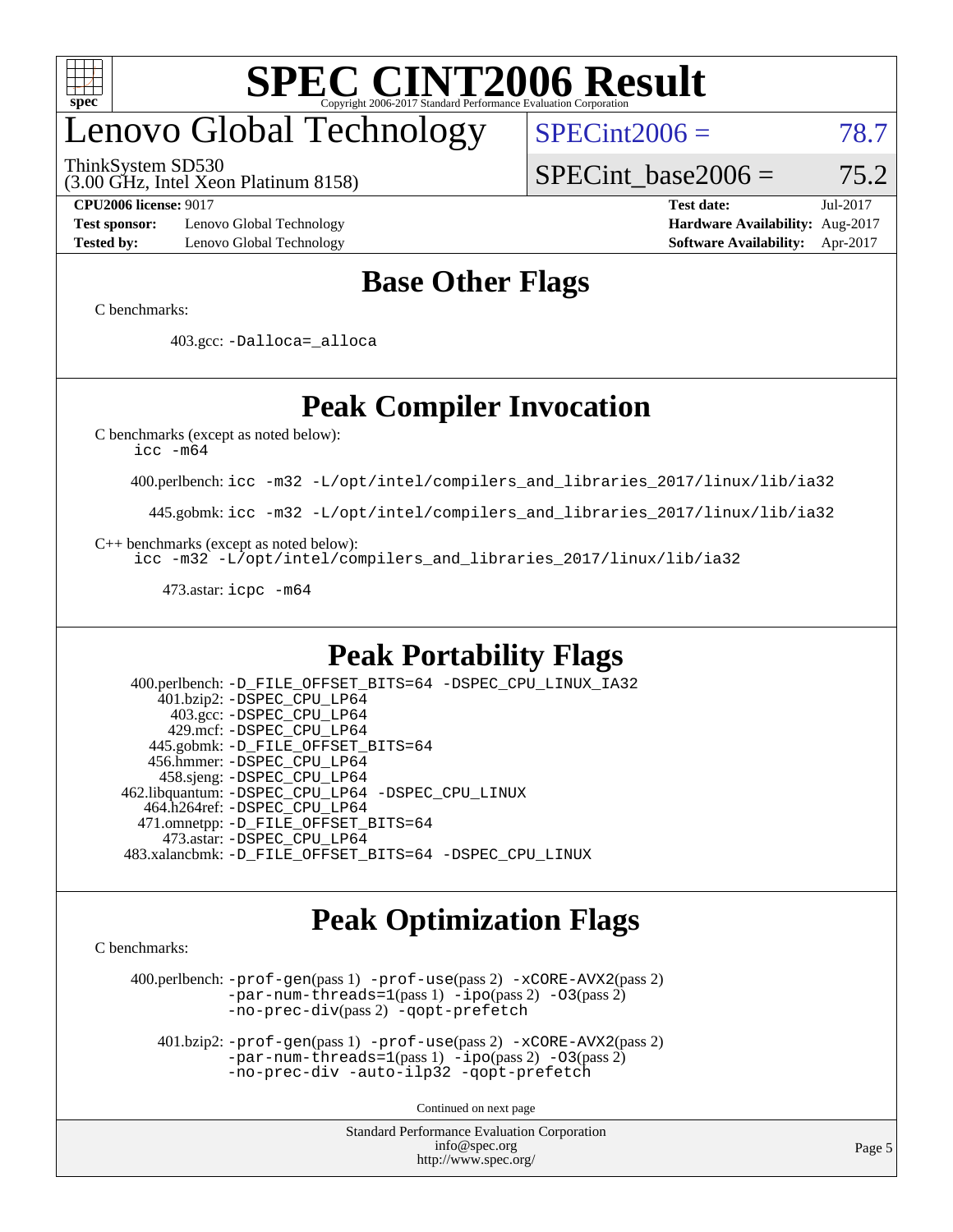

# enovo Global Technology

ThinkSystem SD530

 $SPECint2006 = 78.7$  $SPECint2006 = 78.7$ 

(3.00 GHz, Intel Xeon Platinum 8158)

SPECint base2006 =  $75.2$ 

**[Test sponsor:](http://www.spec.org/auto/cpu2006/Docs/result-fields.html#Testsponsor)** Lenovo Global Technology **[Hardware Availability:](http://www.spec.org/auto/cpu2006/Docs/result-fields.html#HardwareAvailability)** Aug-2017 **[Tested by:](http://www.spec.org/auto/cpu2006/Docs/result-fields.html#Testedby)** Lenovo Global Technology **[Software Availability:](http://www.spec.org/auto/cpu2006/Docs/result-fields.html#SoftwareAvailability)** Apr-2017

**[CPU2006 license:](http://www.spec.org/auto/cpu2006/Docs/result-fields.html#CPU2006license)** 9017 **[Test date:](http://www.spec.org/auto/cpu2006/Docs/result-fields.html#Testdate)** Jul-2017

### **[Base Other Flags](http://www.spec.org/auto/cpu2006/Docs/result-fields.html#BaseOtherFlags)**

[C benchmarks](http://www.spec.org/auto/cpu2006/Docs/result-fields.html#Cbenchmarks):

403.gcc: [-Dalloca=\\_alloca](http://www.spec.org/cpu2006/results/res2017q4/cpu2006-20170918-49681.flags.html#b403.gcc_baseEXTRA_CFLAGS_Dalloca_be3056838c12de2578596ca5467af7f3)

### **[Peak Compiler Invocation](http://www.spec.org/auto/cpu2006/Docs/result-fields.html#PeakCompilerInvocation)**

[C benchmarks \(except as noted below\)](http://www.spec.org/auto/cpu2006/Docs/result-fields.html#Cbenchmarksexceptasnotedbelow):

[icc -m64](http://www.spec.org/cpu2006/results/res2017q4/cpu2006-20170918-49681.flags.html#user_CCpeak_intel_icc_64bit_bda6cc9af1fdbb0edc3795bac97ada53)

400.perlbench: [icc -m32 -L/opt/intel/compilers\\_and\\_libraries\\_2017/linux/lib/ia32](http://www.spec.org/cpu2006/results/res2017q4/cpu2006-20170918-49681.flags.html#user_peakCCLD400_perlbench_intel_icc_c29f3ff5a7ed067b11e4ec10a03f03ae)

445.gobmk: [icc -m32 -L/opt/intel/compilers\\_and\\_libraries\\_2017/linux/lib/ia32](http://www.spec.org/cpu2006/results/res2017q4/cpu2006-20170918-49681.flags.html#user_peakCCLD445_gobmk_intel_icc_c29f3ff5a7ed067b11e4ec10a03f03ae)

[C++ benchmarks \(except as noted below\):](http://www.spec.org/auto/cpu2006/Docs/result-fields.html#CXXbenchmarksexceptasnotedbelow)

[icc -m32 -L/opt/intel/compilers\\_and\\_libraries\\_2017/linux/lib/ia32](http://www.spec.org/cpu2006/results/res2017q4/cpu2006-20170918-49681.flags.html#user_CXXpeak_intel_icc_c29f3ff5a7ed067b11e4ec10a03f03ae)

473.astar: [icpc -m64](http://www.spec.org/cpu2006/results/res2017q4/cpu2006-20170918-49681.flags.html#user_peakCXXLD473_astar_intel_icpc_64bit_fc66a5337ce925472a5c54ad6a0de310)

#### **[Peak Portability Flags](http://www.spec.org/auto/cpu2006/Docs/result-fields.html#PeakPortabilityFlags)**

 400.perlbench: [-D\\_FILE\\_OFFSET\\_BITS=64](http://www.spec.org/cpu2006/results/res2017q4/cpu2006-20170918-49681.flags.html#user_peakPORTABILITY400_perlbench_file_offset_bits_64_438cf9856305ebd76870a2c6dc2689ab) [-DSPEC\\_CPU\\_LINUX\\_IA32](http://www.spec.org/cpu2006/results/res2017q4/cpu2006-20170918-49681.flags.html#b400.perlbench_peakCPORTABILITY_DSPEC_CPU_LINUX_IA32) 401.bzip2: [-DSPEC\\_CPU\\_LP64](http://www.spec.org/cpu2006/results/res2017q4/cpu2006-20170918-49681.flags.html#suite_peakPORTABILITY401_bzip2_DSPEC_CPU_LP64) 403.gcc: [-DSPEC\\_CPU\\_LP64](http://www.spec.org/cpu2006/results/res2017q4/cpu2006-20170918-49681.flags.html#suite_peakPORTABILITY403_gcc_DSPEC_CPU_LP64) 429.mcf: [-DSPEC\\_CPU\\_LP64](http://www.spec.org/cpu2006/results/res2017q4/cpu2006-20170918-49681.flags.html#suite_peakPORTABILITY429_mcf_DSPEC_CPU_LP64) 445.gobmk: [-D\\_FILE\\_OFFSET\\_BITS=64](http://www.spec.org/cpu2006/results/res2017q4/cpu2006-20170918-49681.flags.html#user_peakPORTABILITY445_gobmk_file_offset_bits_64_438cf9856305ebd76870a2c6dc2689ab) 456.hmmer: [-DSPEC\\_CPU\\_LP64](http://www.spec.org/cpu2006/results/res2017q4/cpu2006-20170918-49681.flags.html#suite_peakPORTABILITY456_hmmer_DSPEC_CPU_LP64) 458.sjeng: [-DSPEC\\_CPU\\_LP64](http://www.spec.org/cpu2006/results/res2017q4/cpu2006-20170918-49681.flags.html#suite_peakPORTABILITY458_sjeng_DSPEC_CPU_LP64) 462.libquantum: [-DSPEC\\_CPU\\_LP64](http://www.spec.org/cpu2006/results/res2017q4/cpu2006-20170918-49681.flags.html#suite_peakPORTABILITY462_libquantum_DSPEC_CPU_LP64) [-DSPEC\\_CPU\\_LINUX](http://www.spec.org/cpu2006/results/res2017q4/cpu2006-20170918-49681.flags.html#b462.libquantum_peakCPORTABILITY_DSPEC_CPU_LINUX) 464.h264ref: [-DSPEC\\_CPU\\_LP64](http://www.spec.org/cpu2006/results/res2017q4/cpu2006-20170918-49681.flags.html#suite_peakPORTABILITY464_h264ref_DSPEC_CPU_LP64) 471.omnetpp: [-D\\_FILE\\_OFFSET\\_BITS=64](http://www.spec.org/cpu2006/results/res2017q4/cpu2006-20170918-49681.flags.html#user_peakPORTABILITY471_omnetpp_file_offset_bits_64_438cf9856305ebd76870a2c6dc2689ab) 473.astar: [-DSPEC\\_CPU\\_LP64](http://www.spec.org/cpu2006/results/res2017q4/cpu2006-20170918-49681.flags.html#suite_peakPORTABILITY473_astar_DSPEC_CPU_LP64) 483.xalancbmk: [-D\\_FILE\\_OFFSET\\_BITS=64](http://www.spec.org/cpu2006/results/res2017q4/cpu2006-20170918-49681.flags.html#user_peakPORTABILITY483_xalancbmk_file_offset_bits_64_438cf9856305ebd76870a2c6dc2689ab) [-DSPEC\\_CPU\\_LINUX](http://www.spec.org/cpu2006/results/res2017q4/cpu2006-20170918-49681.flags.html#b483.xalancbmk_peakCXXPORTABILITY_DSPEC_CPU_LINUX)

#### **[Peak Optimization Flags](http://www.spec.org/auto/cpu2006/Docs/result-fields.html#PeakOptimizationFlags)**

[C benchmarks](http://www.spec.org/auto/cpu2006/Docs/result-fields.html#Cbenchmarks):

 400.perlbench: [-prof-gen](http://www.spec.org/cpu2006/results/res2017q4/cpu2006-20170918-49681.flags.html#user_peakPASS1_CFLAGSPASS1_LDCFLAGS400_perlbench_prof_gen_e43856698f6ca7b7e442dfd80e94a8fc)(pass 1) [-prof-use](http://www.spec.org/cpu2006/results/res2017q4/cpu2006-20170918-49681.flags.html#user_peakPASS2_CFLAGSPASS2_LDCFLAGS400_perlbench_prof_use_bccf7792157ff70d64e32fe3e1250b55)(pass 2) [-xCORE-AVX2](http://www.spec.org/cpu2006/results/res2017q4/cpu2006-20170918-49681.flags.html#user_peakPASS2_CFLAGSPASS2_LDCFLAGS400_perlbench_f-xCORE-AVX2)(pass 2) [-par-num-threads=1](http://www.spec.org/cpu2006/results/res2017q4/cpu2006-20170918-49681.flags.html#user_peakPASS1_CFLAGSPASS1_LDCFLAGS400_perlbench_par_num_threads_786a6ff141b4e9e90432e998842df6c2)(pass 1) [-ipo](http://www.spec.org/cpu2006/results/res2017q4/cpu2006-20170918-49681.flags.html#user_peakPASS2_CFLAGSPASS2_LDCFLAGS400_perlbench_f-ipo)(pass 2) [-O3](http://www.spec.org/cpu2006/results/res2017q4/cpu2006-20170918-49681.flags.html#user_peakPASS2_CFLAGSPASS2_LDCFLAGS400_perlbench_f-O3)(pass 2) [-no-prec-div](http://www.spec.org/cpu2006/results/res2017q4/cpu2006-20170918-49681.flags.html#user_peakPASS2_CFLAGSPASS2_LDCFLAGS400_perlbench_f-no-prec-div)(pass 2) [-qopt-prefetch](http://www.spec.org/cpu2006/results/res2017q4/cpu2006-20170918-49681.flags.html#user_peakCOPTIMIZE400_perlbench_f-qopt-prefetch)

 401.bzip2: [-prof-gen](http://www.spec.org/cpu2006/results/res2017q4/cpu2006-20170918-49681.flags.html#user_peakPASS1_CFLAGSPASS1_LDCFLAGS401_bzip2_prof_gen_e43856698f6ca7b7e442dfd80e94a8fc)(pass 1) [-prof-use](http://www.spec.org/cpu2006/results/res2017q4/cpu2006-20170918-49681.flags.html#user_peakPASS2_CFLAGSPASS2_LDCFLAGS401_bzip2_prof_use_bccf7792157ff70d64e32fe3e1250b55)(pass 2) [-xCORE-AVX2](http://www.spec.org/cpu2006/results/res2017q4/cpu2006-20170918-49681.flags.html#user_peakPASS2_CFLAGSPASS2_LDCFLAGS401_bzip2_f-xCORE-AVX2)(pass 2)  $-par-num-threads=1(pass 1) -ipo(pass 2) -O3(pass 2)$  $-par-num-threads=1(pass 1) -ipo(pass 2) -O3(pass 2)$  $-par-num-threads=1(pass 1) -ipo(pass 2) -O3(pass 2)$  $-par-num-threads=1(pass 1) -ipo(pass 2) -O3(pass 2)$  $-par-num-threads=1(pass 1) -ipo(pass 2) -O3(pass 2)$  $-par-num-threads=1(pass 1) -ipo(pass 2) -O3(pass 2)$ [-no-prec-div](http://www.spec.org/cpu2006/results/res2017q4/cpu2006-20170918-49681.flags.html#user_peakCOPTIMIZEPASS2_CFLAGSPASS2_LDCFLAGS401_bzip2_f-no-prec-div) [-auto-ilp32](http://www.spec.org/cpu2006/results/res2017q4/cpu2006-20170918-49681.flags.html#user_peakCOPTIMIZE401_bzip2_f-auto-ilp32) [-qopt-prefetch](http://www.spec.org/cpu2006/results/res2017q4/cpu2006-20170918-49681.flags.html#user_peakCOPTIMIZE401_bzip2_f-qopt-prefetch)

Continued on next page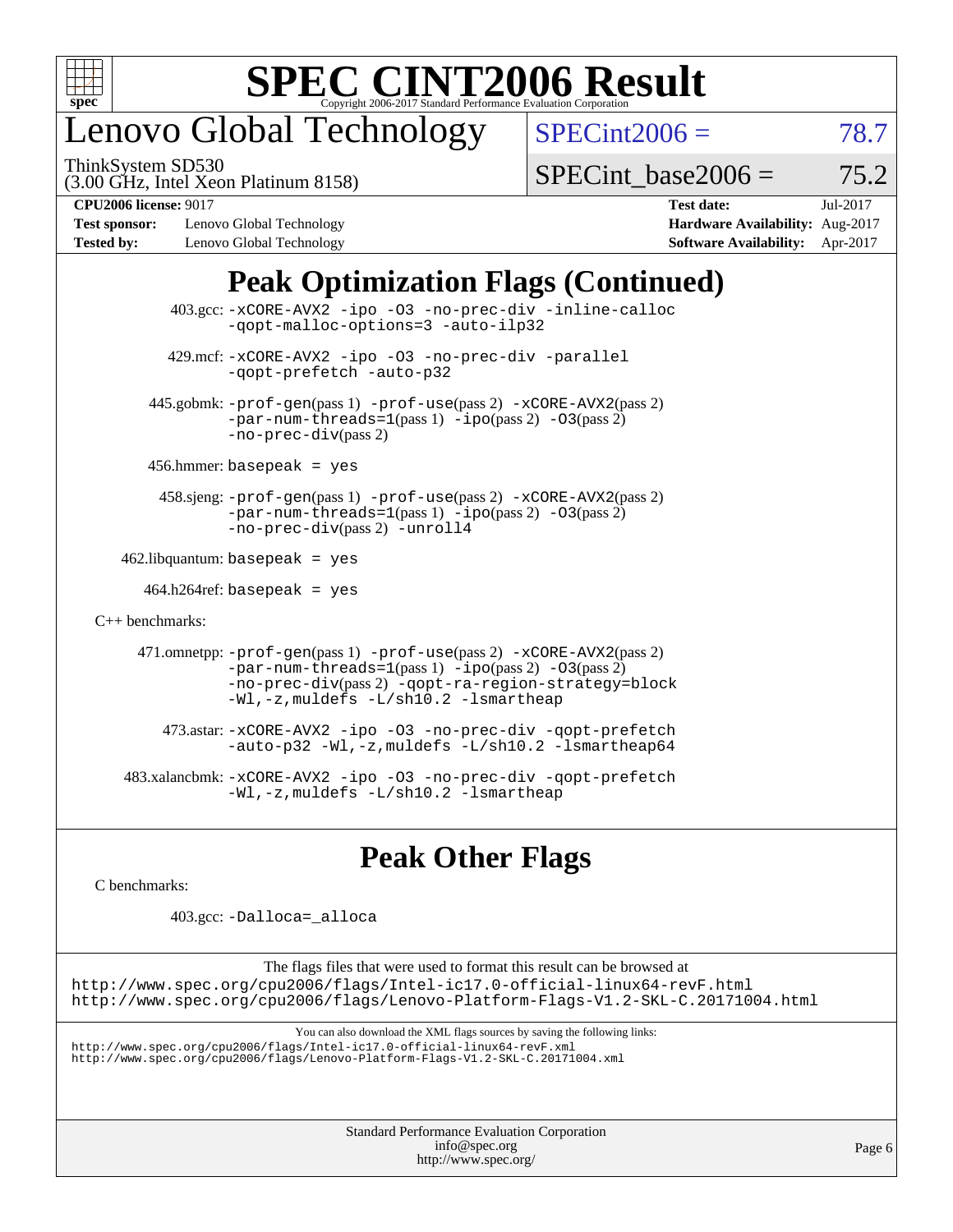

## enovo Global Technology

ThinkSystem SD530

 $SPECint2006 = 78.7$  $SPECint2006 = 78.7$ 

(3.00 GHz, Intel Xeon Platinum 8158)

 $SPECTnt$  base2006 = 75.2

**[Test sponsor:](http://www.spec.org/auto/cpu2006/Docs/result-fields.html#Testsponsor)** Lenovo Global Technology **[Hardware Availability:](http://www.spec.org/auto/cpu2006/Docs/result-fields.html#HardwareAvailability)** Aug-2017 **[Tested by:](http://www.spec.org/auto/cpu2006/Docs/result-fields.html#Testedby)** Lenovo Global Technology **[Software Availability:](http://www.spec.org/auto/cpu2006/Docs/result-fields.html#SoftwareAvailability)** Apr-2017

**[CPU2006 license:](http://www.spec.org/auto/cpu2006/Docs/result-fields.html#CPU2006license)** 9017 **[Test date:](http://www.spec.org/auto/cpu2006/Docs/result-fields.html#Testdate)** Jul-2017

### **[Peak Optimization Flags \(Continued\)](http://www.spec.org/auto/cpu2006/Docs/result-fields.html#PeakOptimizationFlags)**

|                                   | 403.gcc: -xCORE-AVX2 -ipo -03 -no-prec-div -inline-calloc<br>-gopt-malloc-options=3 -auto-ilp32                                                                                                                               |
|-----------------------------------|-------------------------------------------------------------------------------------------------------------------------------------------------------------------------------------------------------------------------------|
|                                   | 429.mcf: -xCORE-AVX2 -ipo -03 -no-prec-div -parallel<br>-gopt-prefetch -auto-p32                                                                                                                                              |
|                                   | 445.gobmk: -prof-gen(pass 1) -prof-use(pass 2) -xCORE-AVX2(pass 2)<br>$-par-num-threads=1(pass 1) -ipo(pass 2) -03(pass 2)$<br>$-no-prec-div(pass 2)$                                                                         |
|                                   | $456.$ hmmer: basepeak = yes                                                                                                                                                                                                  |
|                                   | 458.sjeng: -prof-gen(pass 1) -prof-use(pass 2) -xCORE-AVX2(pass 2)<br>$-par-num-threads=1(pass 1) -ipo(pass 2) -03(pass 2)$<br>-no-prec-div(pass 2) -unroll4                                                                  |
| $462$ .libquantum: basepeak = yes |                                                                                                                                                                                                                               |
|                                   | $464.h264 \text{ref}$ : basepeak = yes                                                                                                                                                                                        |
| $C_{++}$ benchmarks:              |                                                                                                                                                                                                                               |
|                                   | 471.omnetpp: -prof-gen(pass 1) -prof-use(pass 2) -xCORE-AVX2(pass 2)<br>$-par-num-threads=1(pass 1) -ipo(pass 2) -03(pass 2)$<br>-no-prec-div(pass 2) -qopt-ra-region-strategy=block<br>-Wl,-z, muldefs -L/sh10.2 -lsmartheap |
|                                   | 473.astar: -xCORE-AVX2 -ipo -03 -no-prec-div -qopt-prefetch<br>-auto-p32 -Wl,-z, muldefs -L/sh10.2 -lsmartheap64                                                                                                              |
|                                   | 483.xalancbmk: -xCORE-AVX2 -ipo -03 -no-prec-div -qopt-prefetch<br>-Wl,-z, muldefs -L/sh10.2 -lsmartheap                                                                                                                      |

#### **[Peak Other Flags](http://www.spec.org/auto/cpu2006/Docs/result-fields.html#PeakOtherFlags)**

[C benchmarks](http://www.spec.org/auto/cpu2006/Docs/result-fields.html#Cbenchmarks):

403.gcc: [-Dalloca=\\_alloca](http://www.spec.org/cpu2006/results/res2017q4/cpu2006-20170918-49681.flags.html#b403.gcc_peakEXTRA_CFLAGS_Dalloca_be3056838c12de2578596ca5467af7f3)

The flags files that were used to format this result can be browsed at <http://www.spec.org/cpu2006/flags/Intel-ic17.0-official-linux64-revF.html> <http://www.spec.org/cpu2006/flags/Lenovo-Platform-Flags-V1.2-SKL-C.20171004.html>

You can also download the XML flags sources by saving the following links:

<http://www.spec.org/cpu2006/flags/Intel-ic17.0-official-linux64-revF.xml> <http://www.spec.org/cpu2006/flags/Lenovo-Platform-Flags-V1.2-SKL-C.20171004.xml>